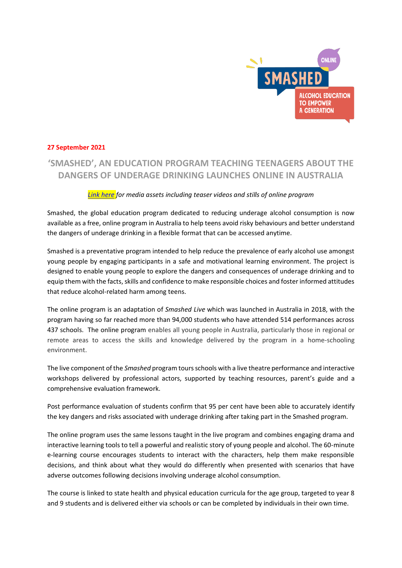

## **27 September 2021**

# **'SMASHED', AN EDUCATION PROGRAM TEACHING TEENAGERS ABOUT THE DANGERS OF UNDERAGE DRINKING LAUNCHES ONLINE IN AUSTRALIA**

## *Link here for media assets including teaser videos and stills of online program*

Smashed, the global education program dedicated to reducing underage alcohol consumption is now available as a free, online program in Australia to help teens avoid risky behaviours and better understand the dangers of underage drinking in a flexible format that can be accessed anytime.

Smashed is a preventative program intended to help reduce the prevalence of early alcohol use amongst young people by engaging participants in a safe and motivational learning environment. The project is designed to enable young people to explore the dangers and consequences of underage drinking and to equip them with the facts, skills and confidence to make responsible choices and foster informed attitudes that reduce alcohol-related harm among teens.

The online program is an adaptation of *Smashed Live* which was launched in Australia in 2018, with the program having so far reached more than 94,000 students who have attended 514 performances across 437 schools. The online program enables all young people in Australia, particularly those in regional or remote areas to access the skills and knowledge delivered by the program in a home-schooling environment.

The live component of the *Smashed* program tours schools with a live theatre performance and interactive workshops delivered by professional actors, supported by teaching resources, parent's guide and a comprehensive evaluation framework.

Post performance evaluation of students confirm that 95 per cent have been able to accurately identify the key dangers and risks associated with underage drinking after taking part in the Smashed program.

The online program uses the same lessons taught in the live program and combines engaging drama and interactive learning tools to tell a powerful and realistic story of young people and alcohol. The 60-minute e-learning course encourages students to interact with the characters, help them make responsible decisions, and think about what they would do differently when presented with scenarios that have adverse outcomes following decisions involving underage alcohol consumption.

The course is linked to state health and physical education curricula for the age group, targeted to year 8 and 9 students and is delivered either via schools or can be completed by individuals in their own time.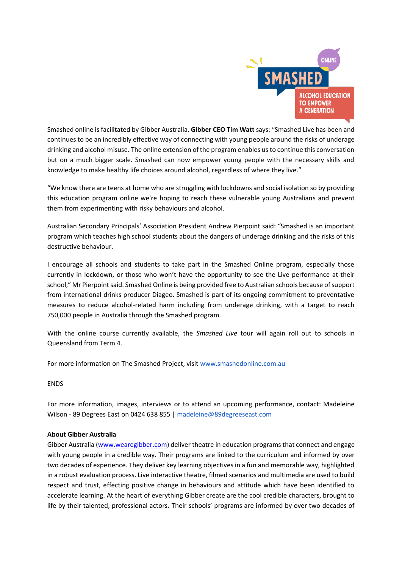

Smashed online is facilitated by Gibber Australia. Gibber CEO Tim Watt says: "Smashed Live has been and continues to be an incredibly effective way of connecting with young people around the risks of underage drinking and alcohol misuse. The online extension of the program enables us to continue this conversation but on a much bigger scale. Smashed can now empower young people with the necessary skills and knowledge to make healthy life choices around alcohol, regardless of where they live."

͞We know there are teens at home who are struggling with lockdowns and social isolation so by providing this education program online we're hoping to reach these vulnerable young Australians and prevent them from experimenting with risky behaviours and alcohol.

Australian Secondary Principals' Association President Andrew Pierpoint said: "Smashed is an important program which teaches high school students about the dangers of underage drinking and the risks of this destructive behaviour.

I encourage all schools and students to take part in the Smashed Online program, especially those currently in lockdown, or those who won't have the opportunity to see the Live performance at their school," Mr Pierpoint said. Smashed Online is being provided free to Australian schools because of support from international drinks producer Diageo. Smashed is part of its ongoing commitment to preventative measures to reduce alcohol-related harm including from underage drinking, with a target to reach 750,000 people in Australia through the Smashed program.

With the online course currently available, the *Smashed Live* tour will again roll out to schools in Queensland from Term 4.

For more information on The Smashed Project, visit www.smashedonline.com.au

ENDS

For more information, images, interviews or to attend an upcoming performance, contact: Madeleine Wilson - 89 Degrees East on 0424 638 855 | madeleine@89degreeseast.com

### **About Gibber Australia**

Gibber Australia (www.wearegibber.com) deliver theatre in education programs that connect and engage with young people in a credible way. Their programs are linked to the curriculum and informed by over two decades of experience. They deliver key learning objectives in a fun and memorable way, highlighted in a robust evaluation process. Live interactive theatre, filmed scenarios and multimedia are used to build respect and trust, effecting positive change in behaviours and attitude which have been identified to accelerate learning. At the heart of everything Gibber create are the cool credible characters, brought to life by their talented, professional actors. Their schools' programs are informed by over two decades of